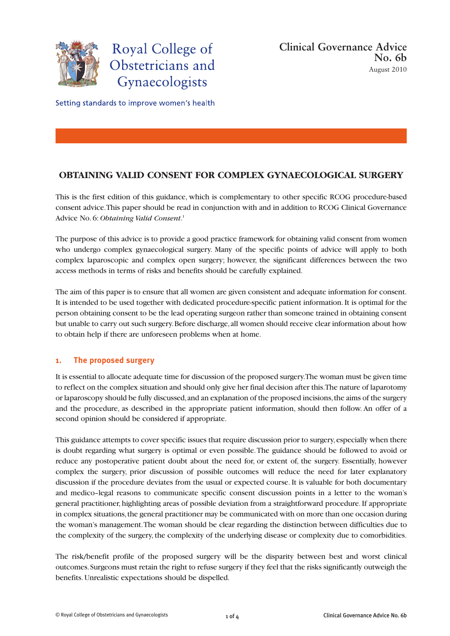

Setting standards to improve women's health

# **OBTAINING VALID CONSENT FOR COMPLEX GYNAECOLOGICAL SURGERY**

This is the first edition of this guidance, which is complementary to other specific RCOG procedure-based consent advice. This paper should be read in conjunction with and in addition to RCOG Clinical Governance Advice No. 6: *Obtaining Valid Consent*. 1

The purpose of this advice is to provide a good practice framework for obtaining valid consent from women who undergo complex gynaecological surgery. Many of the specific points of advice will apply to both complex laparoscopic and complex open surgery; however, the significant differences between the two access methods in terms of risks and benefits should be carefully explained.

The aim of this paper is to ensure that all women are given consistent and adequate information for consent. It is intended to be used together with dedicated procedure-specific patient information. It is optimal for the person obtaining consent to be the lead operating surgeon rather than someone trained in obtaining consent but unable to carry out such surgery. Before discharge, all women should receive clear information about how to obtain help if there are unforeseen problems when at home.

## **1. The proposed surgery**

It is essential to allocate adequate time for discussion of the proposed surgery. The woman must be given time to reflect on the complex situation and should only give her final decision after this. The nature of laparotomy or laparoscopy should be fully discussed, and an explanation of the proposed incisions, the aims of the surgery and the procedure, as described in the appropriate patient information, should then follow. An offer of a second opinion should be considered if appropriate.

This guidance attempts to cover specific issues that require discussion prior to surgery, especially when there is doubt regarding what surgery is optimal or even possible. The guidance should be followed to avoid or reduce any postoperative patient doubt about the need for, or extent of, the surgery. Essentially, however complex the surgery, prior discussion of possible outcomes will reduce the need for later explanatory discussion if the procedure deviates from the usual or expected course. It is valuable for both documentary and medico–legal reasons to communicate specific consent discussion points in a letter to the woman's general practitioner, highlighting areas of possible deviation from a straightforward procedure. If appropriate in complex situations, the general practitioner may be communicated with on more than one occasion during the woman's management. The woman should be clear regarding the distinction between difficulties due to the complexity of the surgery, the complexity of the underlying disease or complexity due to comorbidities.

The risk/benefit profile of the proposed surgery will be the disparity between best and worst clinical outcomes. Surgeons must retain the right to refuse surgery if they feel that the risks significantly outweigh the benefits. Unrealistic expectations should be dispelled.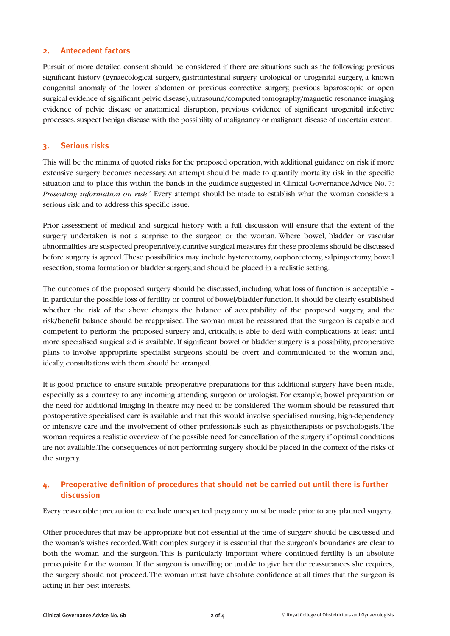#### **2. Antecedent factors**

Pursuit of more detailed consent should be considered if there are situations such as the following: previous significant history (gynaecological surgery, gastrointestinal surgery, urological or urogenital surgery, a known congenital anomaly of the lower abdomen or previous corrective surgery, previous laparoscopic or open surgical evidence of significant pelvic disease), ultrasound/computed tomography/magnetic resonance imaging evidence of pelvic disease or anatomical disruption, previous evidence of significant urogenital infective processes, suspect benign disease with the possibility of malignancy or malignant disease of uncertain extent.

## **3. Serious risks**

This will be the minima of quoted risks for the proposed operation, with additional guidance on risk if more extensive surgery becomes necessary. An attempt should be made to quantify mortality risk in the specific situation and to place this within the bands in the guidance suggested in Clinical Governance Advice No. 7: *Presenting information on risk*. <sup>2</sup> Every attempt should be made to establish what the woman considers a serious risk and to address this specific issue.

Prior assessment of medical and surgical history with a full discussion will ensure that the extent of the surgery undertaken is not a surprise to the surgeon or the woman. Where bowel, bladder or vascular abnormalities are suspected preoperatively, curative surgical measures for these problems should be discussed before surgery is agreed. These possibilities may include hysterectomy, oophorectomy, salpingectomy, bowel resection, stoma formation or bladder surgery, and should be placed in a realistic setting.

The outcomes of the proposed surgery should be discussed, including what loss of function is acceptable – in particular the possible loss of fertility or control of bowel/bladder function. It should be clearly established whether the risk of the above changes the balance of acceptability of the proposed surgery, and the risk/benefit balance should be reappraised. The woman must be reassured that the surgeon is capable and competent to perform the proposed surgery and, critically, is able to deal with complications at least until more specialised surgical aid is available. If significant bowel or bladder surgery is a possibility, preoperative plans to involve appropriate specialist surgeons should be overt and communicated to the woman and, ideally, consultations with them should be arranged.

It is good practice to ensure suitable preoperative preparations for this additional surgery have been made, especially as a courtesy to any incoming attending surgeon or urologist. For example, bowel preparation or the need for additional imaging in theatre may need to be considered. The woman should be reassured that postoperative specialised care is available and that this would involve specialised nursing, high-dependency or intensive care and the involvement of other professionals such as physiotherapists or psychologists. The woman requires a realistic overview of the possible need for cancellation of the surgery if optimal conditions are not available. The consequences of not performing surgery should be placed in the context of the risks of the surgery.

## **4. Preoperative definition of procedures that should not be carried out until there is further discussion**

Every reasonable precaution to exclude unexpected pregnancy must be made prior to any planned surgery.

Other procedures that may be appropriate but not essential at the time of surgery should be discussed and the woman's wishes recorded. With complex surgery it is essential that the surgeon's boundaries are clear to both the woman and the surgeon. This is particularly important where continued fertility is an absolute prerequisite for the woman. If the surgeon is unwilling or unable to give her the reassurances she requires, the surgery should not proceed. The woman must have absolute confidence at all times that the surgeon is acting in her best interests.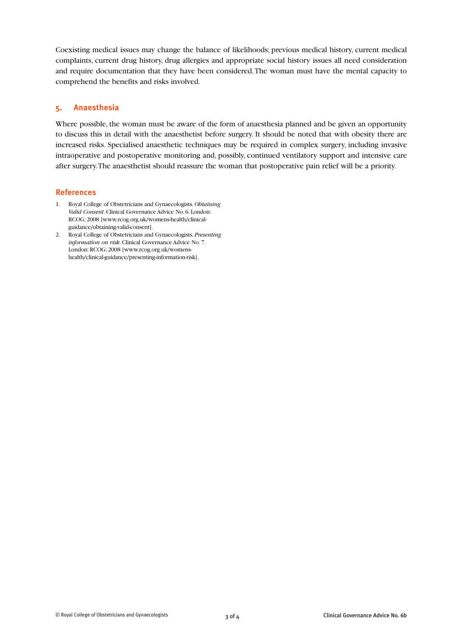Coexisting medical issues may change the balance of likelihoods; previous medical history, current medical complaints, current drug history, drug allergies and appropriate social history issues all need consideration and require documentation that they have been considered. The woman must have the mental capacity to comprehend the benefits and risks involved.

## **5. Anaesthesia**

Where possible, the woman must be aware of the form of anaesthesia planned and be given an opportunity to discuss this in detail with the anaesthetist before surgery. It should be noted that with obesity there are increased risks. Specialised anaesthetic techniques may be required in complex surgery, including invasive intraoperative and postoperative monitoring and, possibly, continued ventilatory support and intensive care after surgery. The anaesthetist should reassure the woman that postoperative pain relief will be a priority.

## **References**

- 1. Royal College of Obstetricians and Gynaecologists. *Obtaining Valid Consent*. Clinical Governance Advice No. 6. London: RCOG; 2008 [www.rcog.org.uk/womens-health/clinicalguidance/obtaining-valid-consent].
- 2. Royal College of Obstetricians and Gynaecologists. *Presenting information on risk*. Clinical Governance Advice No. 7. London: RCOG; 2008 [www.rcog.org.uk/womenshealth/clinical-guidance/presenting-information-risk].